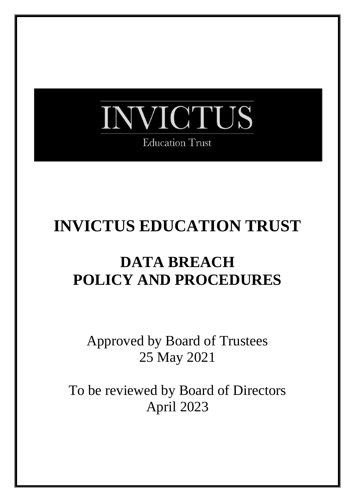

# **INVICTUS EDUCATION TRUST**

## **DATA BREACH POLICY AND PROCEDURES**

Approved by Board of Trustees 25 May 2021

To be reviewed by Board of Directors April 2023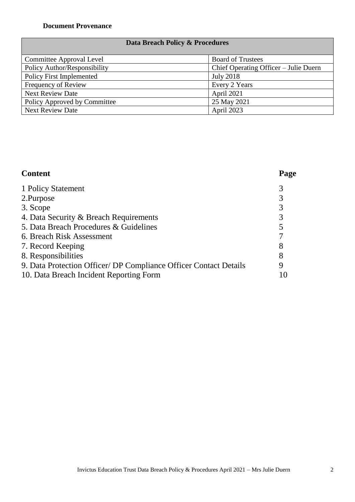### **Data Breach Policy & Procedures**

| Committee Approval Level     | <b>Board of Trustees</b>              |
|------------------------------|---------------------------------------|
| Policy Author/Responsibility | Chief Operating Officer – Julie Duern |
| Policy First Implemented     | <b>July 2018</b>                      |
| Frequency of Review          | Every 2 Years                         |
| <b>Next Review Date</b>      | <b>April 2021</b>                     |
| Policy Approved by Committee | 25 May 2021                           |
| <b>Next Review Date</b>      | <b>April 2023</b>                     |

#### **Content Page**

| 1 Policy Statement                                                |    |
|-------------------------------------------------------------------|----|
| 2. Purpose                                                        |    |
| 3. Scope                                                          |    |
| 4. Data Security & Breach Requirements                            |    |
| 5. Data Breach Procedures & Guidelines                            |    |
| 6. Breach Risk Assessment                                         |    |
| 7. Record Keeping                                                 |    |
| 8. Responsibilities                                               |    |
| 9. Data Protection Officer/ DP Compliance Officer Contact Details |    |
| 10. Data Breach Incident Reporting Form                           | 10 |
|                                                                   |    |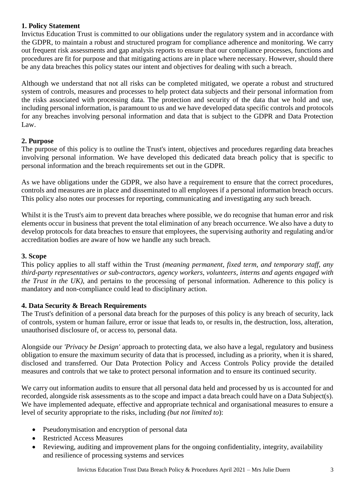#### **1. Policy Statement**

Invictus Education Trust is committed to our obligations under the regulatory system and in accordance with the GDPR, to maintain a robust and structured program for compliance adherence and monitoring. We carry out frequent risk assessments and gap analysis reports to ensure that our compliance processes, functions and procedures are fit for purpose and that mitigating actions are in place where necessary. However, should there be any data breaches this policy states our intent and objectives for dealing with such a breach.

Although we understand that not all risks can be completed mitigated, we operate a robust and structured system of controls, measures and processes to help protect data subjects and their personal information from the risks associated with processing data. The protection and security of the data that we hold and use, including personal information, is paramount to us and we have developed data specific controls and protocols for any breaches involving personal information and data that is subject to the GDPR and Data Protection Law.

#### **2. Purpose**

The purpose of this policy is to outline the Trust's intent, objectives and procedures regarding data breaches involving personal information. We have developed this dedicated data breach policy that is specific to personal information and the breach requirements set out in the GDPR.

As we have obligations under the GDPR, we also have a requirement to ensure that the correct procedures, controls and measures are in place and disseminated to all employees if a personal information breach occurs. This policy also notes our processes for reporting, communicating and investigating any such breach.

Whilst it is the Trust's aim to prevent data breaches where possible, we do recognise that human error and risk elements occur in business that prevent the total elimination of any breach occurrence. We also have a duty to develop protocols for data breaches to ensure that employees, the supervising authority and regulating and/or accreditation bodies are aware of how we handle any such breach.

#### **3. Scope**

This policy applies to all staff within the Trust *(meaning permanent, fixed term, and temporary staff, any third-party representatives or sub-contractors, agency workers, volunteers, interns and agents engaged with the Trust in the UK),* and pertains to the processing of personal information. Adherence to this policy is mandatory and non-compliance could lead to disciplinary action.

#### **4. Data Security & Breach Requirements**

The Trust's definition of a personal data breach for the purposes of this policy is any breach of security, lack of controls, system or human failure, error or issue that leads to, or results in, the destruction, loss, alteration, unauthorised disclosure of, or access to, personal data.

Alongside our *'Privacy be Design'* approach to protecting data, we also have a legal, regulatory and business obligation to ensure the maximum security of data that is processed, including as a priority, when it is shared, disclosed and transferred. Our Data Protection Policy and Access Controls Policy provide the detailed measures and controls that we take to protect personal information and to ensure its continued security.

We carry out information audits to ensure that all personal data held and processed by us is accounted for and recorded, alongside risk assessments as to the scope and impact a data breach could have on a Data Subject(s). We have implemented adequate, effective and appropriate technical and organisational measures to ensure a level of security appropriate to the risks, including *(but not limited to*):

- Pseudonymisation and encryption of personal data
- Restricted Access Measures
- Reviewing, auditing and improvement plans for the ongoing confidentiality, integrity, availability and resilience of processing systems and services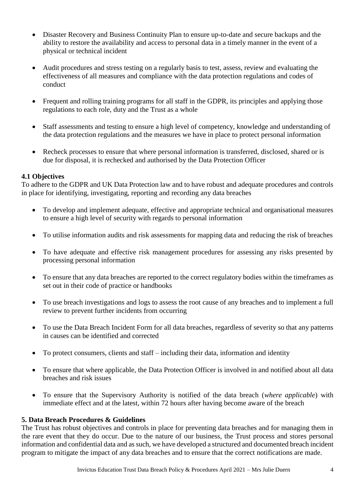- Disaster Recovery and Business Continuity Plan to ensure up-to-date and secure backups and the ability to restore the availability and access to personal data in a timely manner in the event of a physical or technical incident
- Audit procedures and stress testing on a regularly basis to test, assess, review and evaluating the effectiveness of all measures and compliance with the data protection regulations and codes of conduct
- Frequent and rolling training programs for all staff in the GDPR, its principles and applying those regulations to each role, duty and the Trust as a whole
- Staff assessments and testing to ensure a high level of competency, knowledge and understanding of the data protection regulations and the measures we have in place to protect personal information
- Recheck processes to ensure that where personal information is transferred, disclosed, shared or is due for disposal, it is rechecked and authorised by the Data Protection Officer

#### **4.1 Objectives**

To adhere to the GDPR and UK Data Protection law and to have robust and adequate procedures and controls in place for identifying, investigating, reporting and recording any data breaches

- To develop and implement adequate, effective and appropriate technical and organisational measures to ensure a high level of security with regards to personal information
- To utilise information audits and risk assessments for mapping data and reducing the risk of breaches
- To have adequate and effective risk management procedures for assessing any risks presented by processing personal information
- To ensure that any data breaches are reported to the correct regulatory bodies within the timeframes as set out in their code of practice or handbooks
- To use breach investigations and logs to assess the root cause of any breaches and to implement a full review to prevent further incidents from occurring
- To use the Data Breach Incident Form for all data breaches, regardless of severity so that any patterns in causes can be identified and corrected
- To protect consumers, clients and staff including their data, information and identity
- To ensure that where applicable, the Data Protection Officer is involved in and notified about all data breaches and risk issues
- To ensure that the Supervisory Authority is notified of the data breach (*where applicable*) with immediate effect and at the latest, within 72 hours after having become aware of the breach

#### **5. Data Breach Procedures & Guidelines**

The Trust has robust objectives and controls in place for preventing data breaches and for managing them in the rare event that they do occur. Due to the nature of our business, the Trust process and stores personal information and confidential data and as such, we have developed a structured and documented breach incident program to mitigate the impact of any data breaches and to ensure that the correct notifications are made.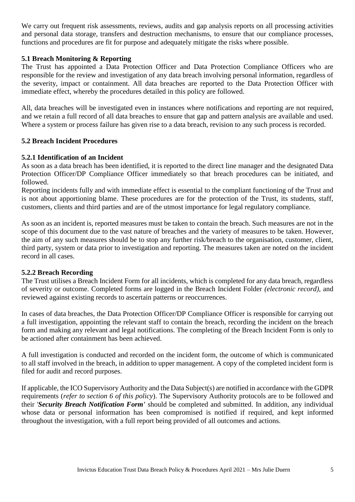We carry out frequent risk assessments, reviews, audits and gap analysis reports on all processing activities and personal data storage, transfers and destruction mechanisms, to ensure that our compliance processes, functions and procedures are fit for purpose and adequately mitigate the risks where possible.

#### **5.1 Breach Monitoring & Reporting**

The Trust has appointed a Data Protection Officer and Data Protection Compliance Officers who are responsible for the review and investigation of any data breach involving personal information, regardless of the severity, impact or containment. All data breaches are reported to the Data Protection Officer with immediate effect, whereby the procedures detailed in this policy are followed.

All, data breaches will be investigated even in instances where notifications and reporting are not required, and we retain a full record of all data breaches to ensure that gap and pattern analysis are available and used. Where a system or process failure has given rise to a data breach, revision to any such process is recorded.

#### **5.2 Breach Incident Procedures**

#### **5.2.1 Identification of an Incident**

As soon as a data breach has been identified, it is reported to the direct line manager and the designated Data Protection Officer/DP Compliance Officer immediately so that breach procedures can be initiated, and followed.

Reporting incidents fully and with immediate effect is essential to the compliant functioning of the Trust and is not about apportioning blame. These procedures are for the protection of the Trust, its students, staff, customers, clients and third parties and are of the utmost importance for legal regulatory compliance.

As soon as an incident is, reported measures must be taken to contain the breach. Such measures are not in the scope of this document due to the vast nature of breaches and the variety of measures to be taken. However, the aim of any such measures should be to stop any further risk/breach to the organisation, customer, client, third party, system or data prior to investigation and reporting. The measures taken are noted on the incident record in all cases.

#### **5.2.2 Breach Recording**

The Trust utilises a Breach Incident Form for all incidents, which is completed for any data breach, regardless of severity or outcome. Completed forms are logged in the Breach Incident Folder *(electronic record),* and reviewed against existing records to ascertain patterns or reoccurrences.

In cases of data breaches, the Data Protection Officer/DP Compliance Officer is responsible for carrying out a full investigation, appointing the relevant staff to contain the breach, recording the incident on the breach form and making any relevant and legal notifications. The completing of the Breach Incident Form is only to be actioned after containment has been achieved.

A full investigation is conducted and recorded on the incident form, the outcome of which is communicated to all staff involved in the breach, in addition to upper management. A copy of the completed incident form is filed for audit and record purposes.

If applicable, the ICO Supervisory Authority and the Data Subject(s) are notified in accordance with the GDPR requirements (*refer to section 6 of this policy*). The Supervisory Authority protocols are to be followed and their '*Security Breach Notification Form'* should be completed and submitted. In addition, any individual whose data or personal information has been compromised is notified if required, and kept informed throughout the investigation, with a full report being provided of all outcomes and actions.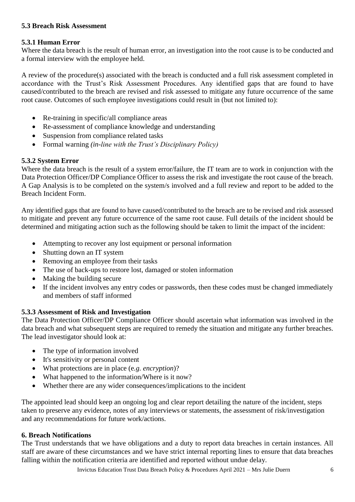#### **5.3 Breach Risk Assessment**

#### **5.3.1 Human Error**

Where the data breach is the result of human error, an investigation into the root cause is to be conducted and a formal interview with the employee held.

A review of the procedure(s) associated with the breach is conducted and a full risk assessment completed in accordance with the Trust's Risk Assessment Procedures. Any identified gaps that are found to have caused/contributed to the breach are revised and risk assessed to mitigate any future occurrence of the same root cause. Outcomes of such employee investigations could result in (but not limited to):

- Re-training in specific/all compliance areas
- Re-assessment of compliance knowledge and understanding
- Suspension from compliance related tasks
- Formal warning *(in-line with the Trust's Disciplinary Policy)*

#### **5.3.2 System Error**

Where the data breach is the result of a system error/failure, the IT team are to work in conjunction with the Data Protection Officer/DP Compliance Officer to assess the risk and investigate the root cause of the breach. A Gap Analysis is to be completed on the system/s involved and a full review and report to be added to the Breach Incident Form.

Any identified gaps that are found to have caused/contributed to the breach are to be revised and risk assessed to mitigate and prevent any future occurrence of the same root cause. Full details of the incident should be determined and mitigating action such as the following should be taken to limit the impact of the incident:

- Attempting to recover any lost equipment or personal information
- Shutting down an IT system
- Removing an employee from their tasks
- The use of back-ups to restore lost, damaged or stolen information
- Making the building secure
- If the incident involves any entry codes or passwords, then these codes must be changed immediately and members of staff informed

#### **5.3.3 Assessment of Risk and Investigation**

The Data Protection Officer/DP Compliance Officer should ascertain what information was involved in the data breach and what subsequent steps are required to remedy the situation and mitigate any further breaches. The lead investigator should look at:

- The type of information involved
- It's sensitivity or personal content
- What protections are in place (e*.g. encryption*)?
- What happened to the information/Where is it now?
- Whether there are any wider consequences/implications to the incident

The appointed lead should keep an ongoing log and clear report detailing the nature of the incident, steps taken to preserve any evidence, notes of any interviews or statements, the assessment of risk/investigation and any recommendations for future work/actions.

#### **6. Breach Notifications**

The Trust understands that we have obligations and a duty to report data breaches in certain instances. All staff are aware of these circumstances and we have strict internal reporting lines to ensure that data breaches falling within the notification criteria are identified and reported without undue delay.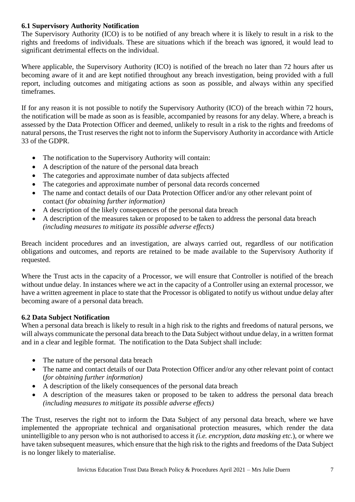#### **6.1 Supervisory Authority Notification**

The Supervisory Authority (ICO) is to be notified of any breach where it is likely to result in a risk to the rights and freedoms of individuals. These are situations which if the breach was ignored, it would lead to significant detrimental effects on the individual.

Where applicable, the Supervisory Authority (ICO) is notified of the breach no later than 72 hours after us becoming aware of it and are kept notified throughout any breach investigation, being provided with a full report, including outcomes and mitigating actions as soon as possible, and always within any specified timeframes.

If for any reason it is not possible to notify the Supervisory Authority (ICO) of the breach within 72 hours, the notification will be made as soon as is feasible, accompanied by reasons for any delay. Where, a breach is assessed by the Data Protection Officer and deemed, unlikely to result in a risk to the rights and freedoms of natural persons, the Trust reserves the right not to inform the Supervisory Authority in accordance with Article 33 of the GDPR.

- The notification to the Supervisory Authority will contain:
- A description of the nature of the personal data breach
- The categories and approximate number of data subjects affected
- The categories and approximate number of personal data records concerned
- The name and contact details of our Data Protection Officer and/or any other relevant point of contact (*for obtaining further information)*
- A description of the likely consequences of the personal data breach
- A description of the measures taken or proposed to be taken to address the personal data breach *(including measures to mitigate its possible adverse effects)*

Breach incident procedures and an investigation, are always carried out, regardless of our notification obligations and outcomes, and reports are retained to be made available to the Supervisory Authority if requested.

Where the Trust acts in the capacity of a Processor, we will ensure that Controller is notified of the breach without undue delay. In instances where we act in the capacity of a Controller using an external processor, we have a written agreement in place to state that the Processor is obligated to notify us without undue delay after becoming aware of a personal data breach.

#### **6.2 Data Subject Notification**

When a personal data breach is likely to result in a high risk to the rights and freedoms of natural persons, we will always communicate the personal data breach to the Data Subject without undue delay, in a written format and in a clear and legible format. The notification to the Data Subject shall include:

- The nature of the personal data breach
- The name and contact details of our Data Protection Officer and/or any other relevant point of contact (*for obtaining further information)*
- A description of the likely consequences of the personal data breach
- A description of the measures taken or proposed to be taken to address the personal data breach *(including measures to mitigate its possible adverse effects)*

The Trust, reserves the right not to inform the Data Subject of any personal data breach, where we have implemented the appropriate technical and organisational protection measures, which render the data unintelligible to any person who is not authorised to access it *(i.e. encryption, data masking etc.*), or where we have taken subsequent measures, which ensure that the high risk to the rights and freedoms of the Data Subject is no longer likely to materialise.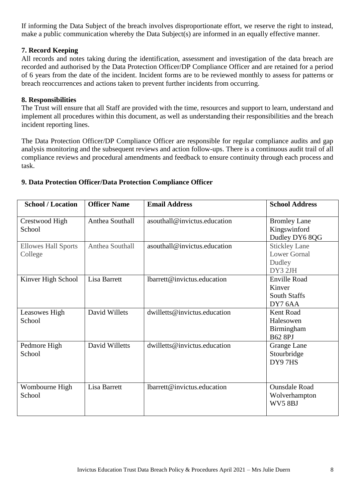If informing the Data Subject of the breach involves disproportionate effort, we reserve the right to instead, make a public communication whereby the Data Subject(s) are informed in an equally effective manner.

#### **7. Record Keeping**

All records and notes taking during the identification, assessment and investigation of the data breach are recorded and authorised by the Data Protection Officer/DP Compliance Officer and are retained for a period of 6 years from the date of the incident. Incident forms are to be reviewed monthly to assess for patterns or breach reoccurrences and actions taken to prevent further incidents from occurring.

#### **8. Responsibilities**

The Trust will ensure that all Staff are provided with the time, resources and support to learn, understand and implement all procedures within this document, as well as understanding their responsibilities and the breach incident reporting lines.

The Data Protection Officer/DP Compliance Officer are responsible for regular compliance audits and gap analysis monitoring and the subsequent reviews and action follow-ups. There is a continuous audit trail of all compliance reviews and procedural amendments and feedback to ensure continuity through each process and task.

| <b>School / Location</b>              | <b>Officer Name</b>    | <b>Email Address</b>         | <b>School Address</b>                                            |
|---------------------------------------|------------------------|------------------------------|------------------------------------------------------------------|
| Crestwood High<br>School              | Anthea Southall        | asouthall@invictus.education | <b>Bromley Lane</b><br>Kingswinford<br>Dudley DY6 8QG            |
| <b>Ellowes Hall Sports</b><br>College | <b>Anthea Southall</b> | asouthall@invictus.education | <b>Stickley Lane</b><br><b>Lower Gornal</b><br>Dudley<br>DY3 2JH |
| Kinver High School                    | Lisa Barrett           | lbarrett@invictus.education  | <b>Enville Road</b><br>Kinver<br><b>South Staffs</b><br>DY7 6AA  |
| Leasowes High<br>School               | David Willets          | dwilletts@invictus.education | <b>Kent Road</b><br>Halesowen<br>Birmingham<br><b>B62 8PJ</b>    |
| Pedmore High<br>School                | David Willetts         | dwilletts@invictus.education | Grange Lane<br>Stourbridge<br>DY97HS                             |
| Wombourne High<br>School              | Lisa Barrett           | lbarrett@invictus.education  | <b>Ounsdale Road</b><br>Wolverhampton<br>WV58BJ                  |

#### **9. Data Protection Officer/Data Protection Compliance Officer**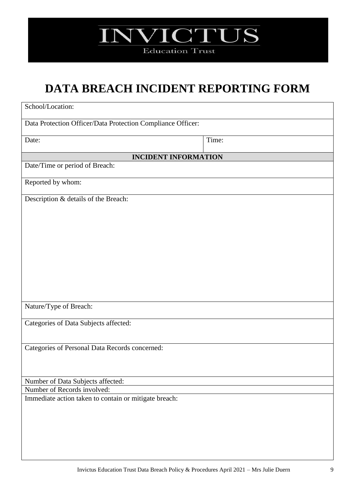

### **DATA BREACH INCIDENT REPORTING FORM**

| School/Location:                                                                     |       |
|--------------------------------------------------------------------------------------|-------|
|                                                                                      |       |
| Data Protection Officer/Data Protection Compliance Officer:                          |       |
| Date:                                                                                | Time: |
|                                                                                      |       |
| <b>INCIDENT INFORMATION</b>                                                          |       |
| Date/Time or period of Breach:                                                       |       |
| Reported by whom:                                                                    |       |
|                                                                                      |       |
| Description & details of the Breach:                                                 |       |
|                                                                                      |       |
|                                                                                      |       |
|                                                                                      |       |
|                                                                                      |       |
|                                                                                      |       |
|                                                                                      |       |
|                                                                                      |       |
|                                                                                      |       |
|                                                                                      |       |
|                                                                                      |       |
| Nature/Type of Breach:                                                               |       |
| Categories of Data Subjects affected:                                                |       |
|                                                                                      |       |
|                                                                                      |       |
| Categories of Personal Data Records concerned:                                       |       |
|                                                                                      |       |
|                                                                                      |       |
| Number of Data Subjects affected:                                                    |       |
| Number of Records involved:<br>Immediate action taken to contain or mitigate breach: |       |
|                                                                                      |       |
|                                                                                      |       |
|                                                                                      |       |
|                                                                                      |       |
|                                                                                      |       |
|                                                                                      |       |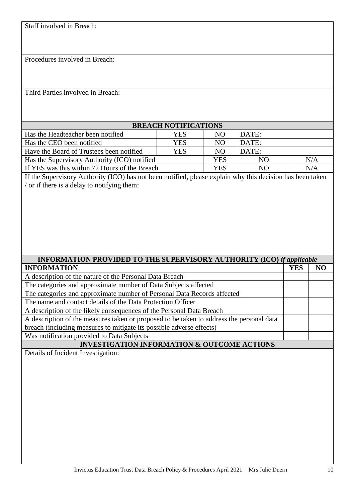Staff involved in Breach:

Procedures involved in Breach:

Third Parties involved in Breach:

| <b>BREACH NOTIFICATIONS</b>                   |            |     |       |     |
|-----------------------------------------------|------------|-----|-------|-----|
| Has the Headteacher been notified             | YES        | NO. | DATE: |     |
| Has the CEO been notified                     | <b>YES</b> | NO  | DATE: |     |
| Have the Board of Trustees been notified      | YES        | NO  | DATE: |     |
| Has the Supervisory Authority (ICO) notified  |            | YES | NO    | N/A |
| If YES was this within 72 Hours of the Breach |            | YES | NO    | N/A |

If the Supervisory Authority (ICO) has not been notified, please explain why this decision has been taken / or if there is a delay to notifying them:

| <b>INFORMATION PROVIDED TO THE SUPERVISORY AUTHORITY (ICO) if applicable</b>             |            |           |  |  |
|------------------------------------------------------------------------------------------|------------|-----------|--|--|
| <b>INFORMATION</b>                                                                       | <b>YES</b> | <b>NO</b> |  |  |
| A description of the nature of the Personal Data Breach                                  |            |           |  |  |
| The categories and approximate number of Data Subjects affected                          |            |           |  |  |
| The categories and approximate number of Personal Data Records affected                  |            |           |  |  |
| The name and contact details of the Data Protection Officer                              |            |           |  |  |
| A description of the likely consequences of the Personal Data Breach                     |            |           |  |  |
| A description of the measures taken or proposed to be taken to address the personal data |            |           |  |  |
| breach (including measures to mitigate its possible adverse effects)                     |            |           |  |  |
| Was notification provided to Data Subjects                                               |            |           |  |  |
| <b>INVESTIGATION INFORMATION &amp; OUTCOME ACTIONS</b>                                   |            |           |  |  |
| Details of Incident Investigation:                                                       |            |           |  |  |
|                                                                                          |            |           |  |  |
|                                                                                          |            |           |  |  |
|                                                                                          |            |           |  |  |